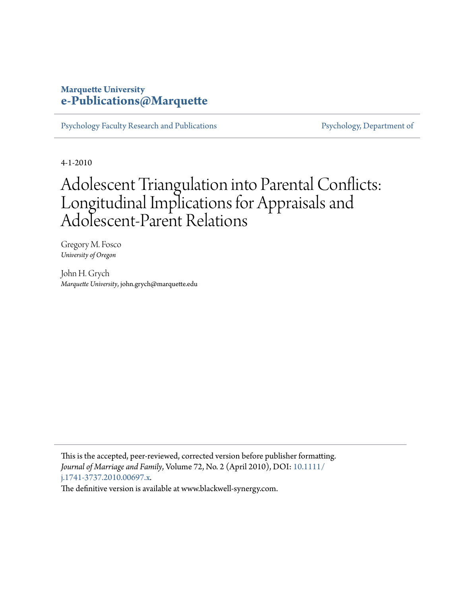#### **Marquette University [e-Publications@Marquette](https://epublications.marquette.edu)**

[Psychology Faculty Research and Publications](https://epublications.marquette.edu/psych_fac) [Psychology, Department of](https://epublications.marquette.edu/psychology)

4-1-2010

# Adolescent Triangulation into Parental Conflicts: Longitudinal Implications for Appraisals and Adolescent-Parent Relations

Gregory M. Fosco *University of Oregon*

John H. Grych *Marquette University*, john.grych@marquette.edu

This is the accepted, peer-reviewed, corrected version before publisher formatting. *Journal of Marriage and Family*, Volume 72, No. 2 (April 2010), DOI: [10.1111/](http://dx.doi.org/10.1111/j.1741-3737.2010.00697.x) [j.1741-3737.2010.00697.x](http://dx.doi.org/10.1111/j.1741-3737.2010.00697.x).

The definitive version is available at www.blackwell-synergy.com.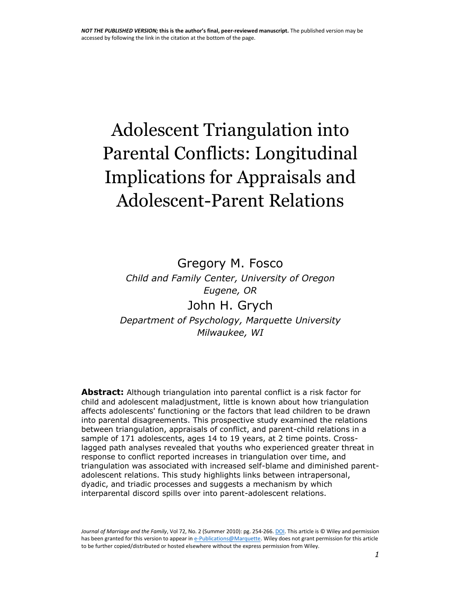# Adolescent Triangulation into Parental Conflicts: Longitudinal Implications for Appraisals and Adolescent-Parent Relations

Gregory M. Fosco *Child and Family Center, University of Oregon Eugene, OR*  John H. Grych *Department of Psychology, Marquette University Milwaukee, WI*

**Abstract:** Although triangulation into parental conflict is a risk factor for child and adolescent maladjustment, little is known about how triangulation affects adolescents' functioning or the factors that lead children to be drawn into parental disagreements. This prospective study examined the relations between triangulation, appraisals of conflict, and parent-child relations in a sample of 171 adolescents, ages 14 to 19 years, at 2 time points. Crosslagged path analyses revealed that youths who experienced greater threat in response to conflict reported increases in triangulation over time, and triangulation was associated with increased self-blame and diminished parentadolescent relations. This study highlights links between intrapersonal, dyadic, and triadic processes and suggests a mechanism by which interparental discord spills over into parent-adolescent relations.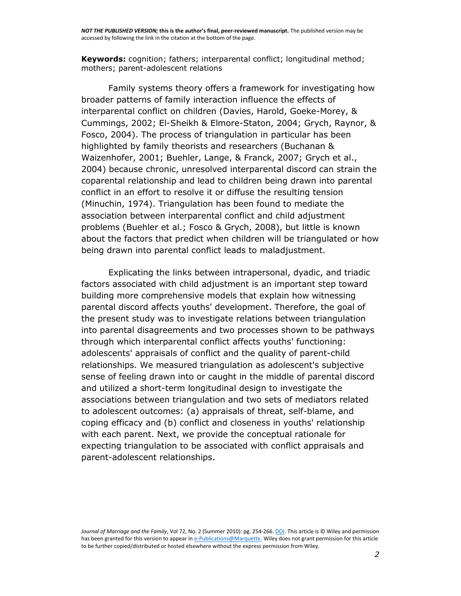**Keywords:** cognition; fathers; interparental conflict; longitudinal method; mothers; parent-adolescent relations

Family systems theory offers a framework for investigating how broader patterns of family interaction influence the effects of interparental conflict on children [\(Davies, Harold, Goeke-Morey, &](http://onlinelibrary.wiley.com/doi/10.1111/j.1741-3737.2010.00697.x/full#b14)  [Cummings, 2002;](http://onlinelibrary.wiley.com/doi/10.1111/j.1741-3737.2010.00697.x/full#b14) [El-Sheikh & Elmore-Staton, 2004;](http://onlinelibrary.wiley.com/doi/10.1111/j.1741-3737.2010.00697.x/full#b17) [Grych, Raynor, &](http://onlinelibrary.wiley.com/doi/10.1111/j.1741-3737.2010.00697.x/full#b23)  [Fosco, 2004\)](http://onlinelibrary.wiley.com/doi/10.1111/j.1741-3737.2010.00697.x/full#b23). The process of triangulation in particular has been highlighted by family theorists and researchers [\(Buchanan &](http://onlinelibrary.wiley.com/doi/10.1111/j.1741-3737.2010.00697.x/full#b7)  [Waizenhofer, 2001;](http://onlinelibrary.wiley.com/doi/10.1111/j.1741-3737.2010.00697.x/full#b7) [Buehler, Lange, & Franck, 2007;](http://onlinelibrary.wiley.com/doi/10.1111/j.1741-3737.2010.00697.x/full#b9) [Grych et al.,](http://onlinelibrary.wiley.com/doi/10.1111/j.1741-3737.2010.00697.x/full#b23)  [2004\)](http://onlinelibrary.wiley.com/doi/10.1111/j.1741-3737.2010.00697.x/full#b23) because chronic, unresolved interparental discord can strain the coparental relationship and lead to children being drawn into parental conflict in an effort to resolve it or diffuse the resulting tension [\(Minuchin, 1974\)](http://onlinelibrary.wiley.com/doi/10.1111/j.1741-3737.2010.00697.x/full#b30). Triangulation has been found to mediate the association between interparental conflict and child adjustment problems (Buehler et al.; [Fosco & Grych, 2008\)](http://onlinelibrary.wiley.com/doi/10.1111/j.1741-3737.2010.00697.x/full#b19), but little is known about the factors that predict when children will be triangulated or how being drawn into parental conflict leads to maladjustment.

Explicating the links between intrapersonal, dyadic, and triadic factors associated with child adjustment is an important step toward building more comprehensive models that explain how witnessing parental discord affects youths' development. Therefore, the goal of the present study was to investigate relations between triangulation into parental disagreements and two processes shown to be pathways through which interparental conflict affects youths' functioning: adolescents' appraisals of conflict and the quality of parent-child relationships. We measured triangulation as adolescent's subjective sense of feeling drawn into or caught in the middle of parental discord and utilized a short-term longitudinal design to investigate the associations between triangulation and two sets of mediators related to adolescent outcomes: (a) appraisals of threat, self-blame, and coping efficacy and (b) conflict and closeness in youths' relationship with each parent. Next, we provide the conceptual rationale for expecting triangulation to be associated with conflict appraisals and parent-adolescent relationships.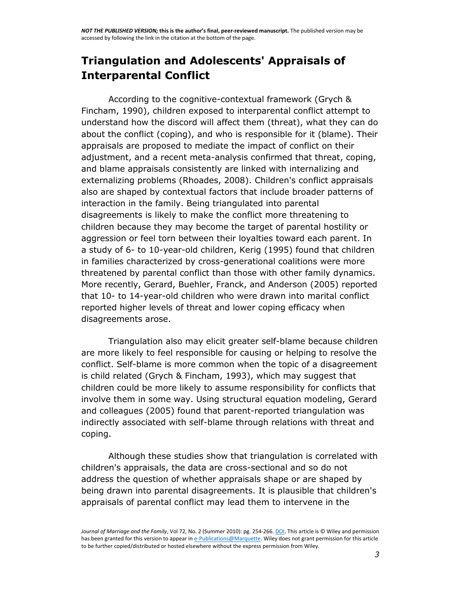# **Triangulation and Adolescents' Appraisals of Interparental Conflict**

According to the cognitive-contextual framework [\(Grych &](http://onlinelibrary.wiley.com/doi/10.1111/j.1741-3737.2010.00697.x/full#b21)  [Fincham, 1990\)](http://onlinelibrary.wiley.com/doi/10.1111/j.1741-3737.2010.00697.x/full#b21), children exposed to interparental conflict attempt to understand how the discord will affect them (threat), what they can do about the conflict (coping), and who is responsible for it (blame). Their appraisals are proposed to mediate the impact of conflict on their adjustment, and a recent meta-analysis confirmed that threat, coping, and blame appraisals consistently are linked with internalizing and externalizing problems [\(Rhoades, 2008\)](http://onlinelibrary.wiley.com/doi/10.1111/j.1741-3737.2010.00697.x/full#b32). Children's conflict appraisals also are shaped by contextual factors that include broader patterns of interaction in the family. Being triangulated into parental disagreements is likely to make the conflict more threatening to children because they may become the target of parental hostility or aggression or feel torn between their loyalties toward each parent. In a study of 6- to 10-year-old children, [Kerig \(1995\)](http://onlinelibrary.wiley.com/doi/10.1111/j.1741-3737.2010.00697.x/full#b26) found that children in families characterized by cross-generational coalitions were more threatened by parental conflict than those with other family dynamics. More recently, [Gerard, Buehler, Franck, and Anderson \(2005\)](http://onlinelibrary.wiley.com/doi/10.1111/j.1741-3737.2010.00697.x/full#b20) reported that 10- to 14-year-old children who were drawn into marital conflict reported higher levels of threat and lower coping efficacy when disagreements arose.

Triangulation also may elicit greater self-blame because children are more likely to feel responsible for causing or helping to resolve the conflict. Self-blame is more common when the topic of a disagreement is child related [\(Grych & Fincham, 1993\)](http://onlinelibrary.wiley.com/doi/10.1111/j.1741-3737.2010.00697.x/full#b22), which may suggest that children could be more likely to assume responsibility for conflicts that involve them in some way. Using structural equation modeling, [Gerard](http://onlinelibrary.wiley.com/doi/10.1111/j.1741-3737.2010.00697.x/full#b20)  [and colleagues \(2005\)](http://onlinelibrary.wiley.com/doi/10.1111/j.1741-3737.2010.00697.x/full#b20) found that parent-reported triangulation was indirectly associated with self-blame through relations with threat and coping.

Although these studies show that triangulation is correlated with children's appraisals, the data are cross-sectional and so do not address the question of whether appraisals shape or are shaped by being drawn into parental disagreements. It is plausible that children's appraisals of parental conflict may lead them to intervene in the

*Journal of Marriage and the Family*, Vol 72, No. 2 (Summer 2010): pg. 254-266[. DOI.](http://dx.doi.org/10.1111/j.1741-3737.2010.00697.x) This article is © Wiley and permission has been granted for this version to appear i[n e-Publications@Marquette.](http://epublications.marquette.edu/) Wiley does not grant permission for this article to be further copied/distributed or hosted elsewhere without the express permission from Wiley.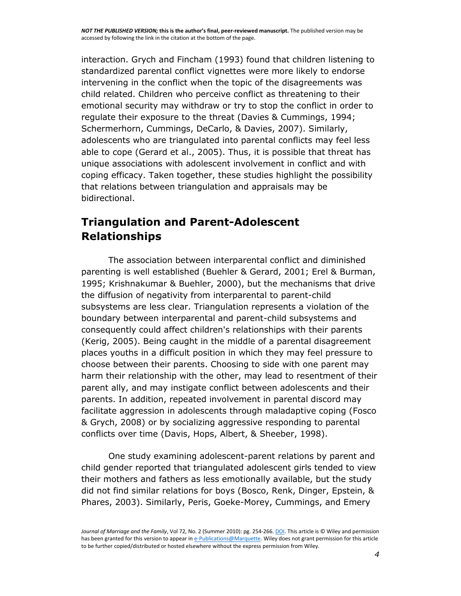interaction. [Grych and Fincham \(1993\)](http://onlinelibrary.wiley.com/doi/10.1111/j.1741-3737.2010.00697.x/full#b22) found that children listening to standardized parental conflict vignettes were more likely to endorse intervening in the conflict when the topic of the disagreements was child related. Children who perceive conflict as threatening to their emotional security may withdraw or try to stop the conflict in order to regulate their exposure to the threat [\(Davies & Cummings, 1994;](http://onlinelibrary.wiley.com/doi/10.1111/j.1741-3737.2010.00697.x/full#b11) [Schermerhorn, Cummings, DeCarlo, & Davies, 2007\)](http://onlinelibrary.wiley.com/doi/10.1111/j.1741-3737.2010.00697.x/full#b33). Similarly, adolescents who are triangulated into parental conflicts may feel less able to cope [\(Gerard et al., 2005\)](http://onlinelibrary.wiley.com/doi/10.1111/j.1741-3737.2010.00697.x/full#b20). Thus, it is possible that threat has unique associations with adolescent involvement in conflict and with coping efficacy. Taken together, these studies highlight the possibility that relations between triangulation and appraisals may be bidirectional.

# **Triangulation and Parent-Adolescent Relationships**

The association between interparental conflict and diminished parenting is well established [\(Buehler & Gerard, 2001;](http://onlinelibrary.wiley.com/doi/10.1111/j.1741-3737.2010.00697.x/full#b8) [Erel & Burman,](http://onlinelibrary.wiley.com/doi/10.1111/j.1741-3737.2010.00697.x/full#b18)  [1995;](http://onlinelibrary.wiley.com/doi/10.1111/j.1741-3737.2010.00697.x/full#b18) [Krishnakumar & Buehler, 2000\)](http://onlinelibrary.wiley.com/doi/10.1111/j.1741-3737.2010.00697.x/full#b28), but the mechanisms that drive the diffusion of negativity from interparental to parent-child subsystems are less clear. Triangulation represents a violation of the boundary between interparental and parent-child subsystems and consequently could affect children's relationships with their parents [\(Kerig, 2005\)](http://onlinelibrary.wiley.com/doi/10.1111/j.1741-3737.2010.00697.x/full#b27). Being caught in the middle of a parental disagreement places youths in a difficult position in which they may feel pressure to choose between their parents. Choosing to side with one parent may harm their relationship with the other, may lead to resentment of their parent ally, and may instigate conflict between adolescents and their parents. In addition, repeated involvement in parental discord may facilitate aggression in adolescents through maladaptive coping [\(Fosco](http://onlinelibrary.wiley.com/doi/10.1111/j.1741-3737.2010.00697.x/full#b19)  [& Grych, 2008\)](http://onlinelibrary.wiley.com/doi/10.1111/j.1741-3737.2010.00697.x/full#b19) or by socializing aggressive responding to parental conflicts over time [\(Davis, Hops, Albert, & Sheeber, 1998\)](http://onlinelibrary.wiley.com/doi/10.1111/j.1741-3737.2010.00697.x/full#b15).

One study examining adolescent-parent relations by parent and child gender reported that triangulated adolescent girls tended to view their mothers and fathers as less emotionally available, but the study did not find similar relations for boys [\(Bosco, Renk, Dinger, Epstein, &](http://onlinelibrary.wiley.com/doi/10.1111/j.1741-3737.2010.00697.x/full#b5)  [Phares, 2003\)](http://onlinelibrary.wiley.com/doi/10.1111/j.1741-3737.2010.00697.x/full#b5). Similarly, [Peris, Goeke-Morey, Cummings, and Emery](http://onlinelibrary.wiley.com/doi/10.1111/j.1741-3737.2010.00697.x/full#b31) 

*Journal of Marriage and the Family*, Vol 72, No. 2 (Summer 2010): pg. 254-266[. DOI.](http://dx.doi.org/10.1111/j.1741-3737.2010.00697.x) This article is © Wiley and permission has been granted for this version to appear i[n e-Publications@Marquette.](http://epublications.marquette.edu/) Wiley does not grant permission for this article to be further copied/distributed or hosted elsewhere without the express permission from Wiley.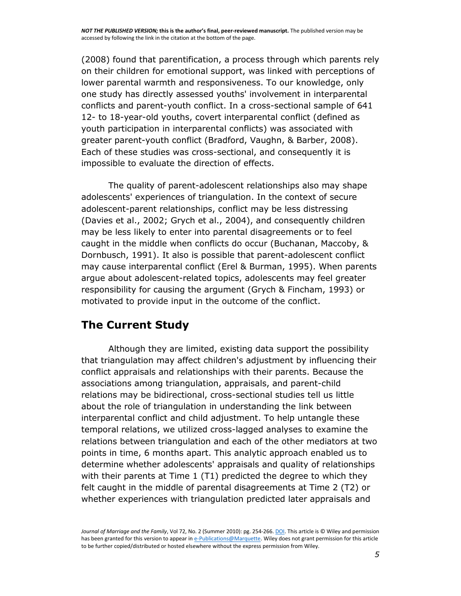[\(2008\)](http://onlinelibrary.wiley.com/doi/10.1111/j.1741-3737.2010.00697.x/full#b31) found that parentification, a process through which parents rely on their children for emotional support, was linked with perceptions of lower parental warmth and responsiveness. To our knowledge, only one study has directly assessed youths' involvement in interparental conflicts and parent-youth conflict. In a cross-sectional sample of 641 12- to 18-year-old youths, covert interparental conflict (defined as youth participation in interparental conflicts) was associated with greater parent-youth conflict [\(Bradford, Vaughn, & Barber, 2008\)](http://onlinelibrary.wiley.com/doi/10.1111/j.1741-3737.2010.00697.x/full#b4). Each of these studies was cross-sectional, and consequently it is impossible to evaluate the direction of effects.

The quality of parent-adolescent relationships also may shape adolescents' experiences of triangulation. In the context of secure adolescent-parent relationships, conflict may be less distressing [\(Davies et al., 2002;](http://onlinelibrary.wiley.com/doi/10.1111/j.1741-3737.2010.00697.x/full#b13) [Grych et al., 2004\)](http://onlinelibrary.wiley.com/doi/10.1111/j.1741-3737.2010.00697.x/full#b23), and consequently children may be less likely to enter into parental disagreements or to feel caught in the middle when conflicts do occur [\(Buchanan, Maccoby, &](http://onlinelibrary.wiley.com/doi/10.1111/j.1741-3737.2010.00697.x/full#b6)  [Dornbusch, 1991\)](http://onlinelibrary.wiley.com/doi/10.1111/j.1741-3737.2010.00697.x/full#b6). It also is possible that parent-adolescent conflict may cause interparental conflict [\(Erel & Burman, 1995\)](http://onlinelibrary.wiley.com/doi/10.1111/j.1741-3737.2010.00697.x/full#b18). When parents argue about adolescent-related topics, adolescents may feel greater responsibility for causing the argument [\(Grych & Fincham, 1993\)](http://onlinelibrary.wiley.com/doi/10.1111/j.1741-3737.2010.00697.x/full#b22) or motivated to provide input in the outcome of the conflict.

# **The Current Study**

Although they are limited, existing data support the possibility that triangulation may affect children's adjustment by influencing their conflict appraisals and relationships with their parents. Because the associations among triangulation, appraisals, and parent-child relations may be bidirectional, cross-sectional studies tell us little about the role of triangulation in understanding the link between interparental conflict and child adjustment. To help untangle these temporal relations, we utilized cross-lagged analyses to examine the relations between triangulation and each of the other mediators at two points in time, 6 months apart. This analytic approach enabled us to determine whether adolescents' appraisals and quality of relationships with their parents at Time  $1$  (T1) predicted the degree to which they felt caught in the middle of parental disagreements at Time 2 (T2) or whether experiences with triangulation predicted later appraisals and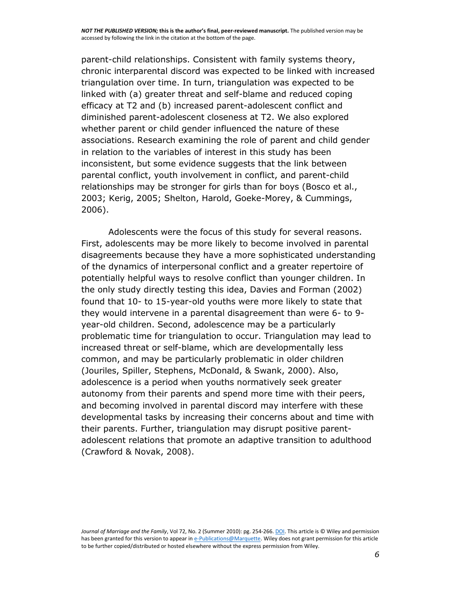parent-child relationships. Consistent with family systems theory, chronic interparental discord was expected to be linked with increased triangulation over time. In turn, triangulation was expected to be linked with (a) greater threat and self-blame and reduced coping efficacy at T2 and (b) increased parent-adolescent conflict and diminished parent-adolescent closeness at T2. We also explored whether parent or child gender influenced the nature of these associations. Research examining the role of parent and child gender in relation to the variables of interest in this study has been inconsistent, but some evidence suggests that the link between parental conflict, youth involvement in conflict, and parent-child relationships may be stronger for girls than for boys [\(Bosco et al.,](http://onlinelibrary.wiley.com/doi/10.1111/j.1741-3737.2010.00697.x/full#b5)  [2003;](http://onlinelibrary.wiley.com/doi/10.1111/j.1741-3737.2010.00697.x/full#b5) [Kerig, 2005;](http://onlinelibrary.wiley.com/doi/10.1111/j.1741-3737.2010.00697.x/full#b27) [Shelton, Harold, Goeke-Morey, & Cummings,](http://onlinelibrary.wiley.com/doi/10.1111/j.1741-3737.2010.00697.x/full#b34)  [2006\)](http://onlinelibrary.wiley.com/doi/10.1111/j.1741-3737.2010.00697.x/full#b34).

Adolescents were the focus of this study for several reasons. First, adolescents may be more likely to become involved in parental disagreements because they have a more sophisticated understanding of the dynamics of interpersonal conflict and a greater repertoire of potentially helpful ways to resolve conflict than younger children. In the only study directly testing this idea, [Davies and Forman \(2002\)](http://onlinelibrary.wiley.com/doi/10.1111/j.1741-3737.2010.00697.x/full#b13) found that 10- to 15-year-old youths were more likely to state that they would intervene in a parental disagreement than were 6- to 9 year-old children. Second, adolescence may be a particularly problematic time for triangulation to occur. Triangulation may lead to increased threat or self-blame, which are developmentally less common, and may be particularly problematic in older children [\(Jouriles, Spiller, Stephens, McDonald, & Swank, 2000\)](http://onlinelibrary.wiley.com/doi/10.1111/j.1741-3737.2010.00697.x/full#b25). Also, adolescence is a period when youths normatively seek greater autonomy from their parents and spend more time with their peers, and becoming involved in parental discord may interfere with these developmental tasks by increasing their concerns about and time with their parents. Further, triangulation may disrupt positive parentadolescent relations that promote an adaptive transition to adulthood [\(Crawford & Novak, 2008\)](http://onlinelibrary.wiley.com/doi/10.1111/j.1741-3737.2010.00697.x/full#b10).

*Journal of Marriage and the Family*, Vol 72, No. 2 (Summer 2010): pg. 254-266[. DOI.](http://dx.doi.org/10.1111/j.1741-3737.2010.00697.x) This article is © Wiley and permission has been granted for this version to appear i[n e-Publications@Marquette.](http://epublications.marquette.edu/) Wiley does not grant permission for this article to be further copied/distributed or hosted elsewhere without the express permission from Wiley.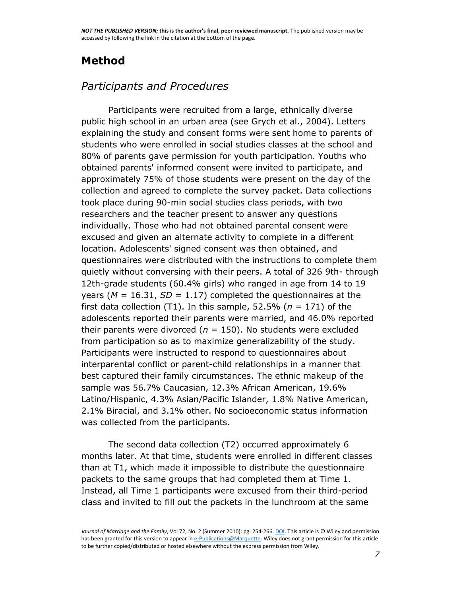# **Method**

# *Participants and Procedures*

Participants were recruited from a large, ethnically diverse public high school in an urban area (see [Grych et al., 2004\)](http://onlinelibrary.wiley.com/doi/10.1111/j.1741-3737.2010.00697.x/full#b23). Letters explaining the study and consent forms were sent home to parents of students who were enrolled in social studies classes at the school and 80% of parents gave permission for youth participation. Youths who obtained parents' informed consent were invited to participate, and approximately 75% of those students were present on the day of the collection and agreed to complete the survey packet. Data collections took place during 90-min social studies class periods, with two researchers and the teacher present to answer any questions individually. Those who had not obtained parental consent were excused and given an alternate activity to complete in a different location. Adolescents' signed consent was then obtained, and questionnaires were distributed with the instructions to complete them quietly without conversing with their peers. A total of 326 9th- through 12th-grade students (60.4% girls) who ranged in age from 14 to 19 years ( $M = 16.31$ ,  $SD = 1.17$ ) completed the questionnaires at the first data collection  $(T1)$ . In this sample, 52.5% ( $n = 171$ ) of the adolescents reported their parents were married, and 46.0% reported their parents were divorced ( $n = 150$ ). No students were excluded from participation so as to maximize generalizability of the study. Participants were instructed to respond to questionnaires about interparental conflict or parent-child relationships in a manner that best captured their family circumstances. The ethnic makeup of the sample was 56.7% Caucasian, 12.3% African American, 19.6% Latino/Hispanic, 4.3% Asian/Pacific Islander, 1.8% Native American, 2.1% Biracial, and 3.1% other. No socioeconomic status information was collected from the participants.

The second data collection (T2) occurred approximately 6 months later. At that time, students were enrolled in different classes than at T1, which made it impossible to distribute the questionnaire packets to the same groups that had completed them at Time 1. Instead, all Time 1 participants were excused from their third-period class and invited to fill out the packets in the lunchroom at the same

*Journal of Marriage and the Family*, Vol 72, No. 2 (Summer 2010): pg. 254-266[. DOI.](http://dx.doi.org/10.1111/j.1741-3737.2010.00697.x) This article is © Wiley and permission has been granted for this version to appear i[n e-Publications@Marquette.](http://epublications.marquette.edu/) Wiley does not grant permission for this article to be further copied/distributed or hosted elsewhere without the express permission from Wiley.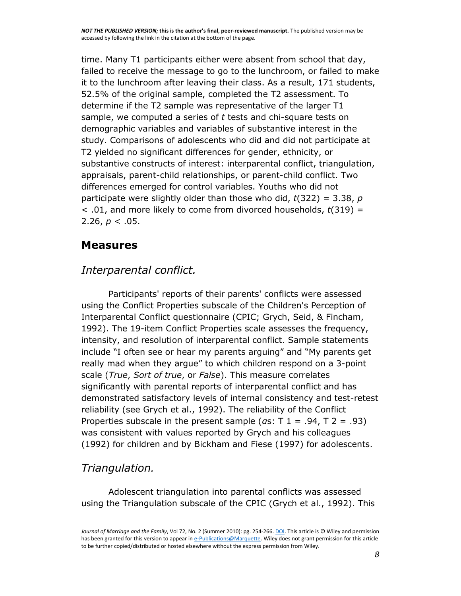time. Many T1 participants either were absent from school that day, failed to receive the message to go to the lunchroom, or failed to make it to the lunchroom after leaving their class. As a result, 171 students, 52.5% of the original sample, completed the T2 assessment. To determine if the T2 sample was representative of the larger T1 sample, we computed a series of *t* tests and chi-square tests on demographic variables and variables of substantive interest in the study. Comparisons of adolescents who did and did not participate at T2 yielded no significant differences for gender, ethnicity, or substantive constructs of interest: interparental conflict, triangulation, appraisals, parent-child relationships, or parent-child conflict. Two differences emerged for control variables. Youths who did not participate were slightly older than those who did, *t*(322) = 3.38, *p* < .01, and more likely to come from divorced households, *t*(319) = 2.26, *p* < .05.

#### **Measures**

#### *Interparental conflict.*

Participants' reports of their parents' conflicts were assessed using the Conflict Properties subscale of the Children's Perception of Interparental Conflict questionnaire (CPIC; [Grych, Seid, & Fincham,](http://onlinelibrary.wiley.com/doi/10.1111/j.1741-3737.2010.00697.x/full#b24)  [1992\)](http://onlinelibrary.wiley.com/doi/10.1111/j.1741-3737.2010.00697.x/full#b24). The 19-item Conflict Properties scale assesses the frequency, intensity, and resolution of interparental conflict. Sample statements include "I often see or hear my parents arguing" and "My parents get really mad when they argue" to which children respond on a 3-point scale (*True*, *Sort of true*, or *False*). This measure correlates significantly with parental reports of interparental conflict and has demonstrated satisfactory levels of internal consistency and test-retest reliability (see [Grych et al., 1992\)](http://onlinelibrary.wiley.com/doi/10.1111/j.1741-3737.2010.00697.x/full#b24). The reliability of the Conflict Properties subscale in the present sample (*α*s: T 1 = .94, T 2 = .93) was consistent with values reported by [Grych and his colleagues](http://onlinelibrary.wiley.com/doi/10.1111/j.1741-3737.2010.00697.x/full#b24)  [\(1992\)](http://onlinelibrary.wiley.com/doi/10.1111/j.1741-3737.2010.00697.x/full#b24) for children and by [Bickham and Fiese \(1997\)](http://onlinelibrary.wiley.com/doi/10.1111/j.1741-3737.2010.00697.x/full#b3) for adolescents.

#### *Triangulation.*

Adolescent triangulation into parental conflicts was assessed using the Triangulation subscale of the CPIC [\(Grych et al., 1992\)](http://onlinelibrary.wiley.com/doi/10.1111/j.1741-3737.2010.00697.x/full#b24). This

*Journal of Marriage and the Family*, Vol 72, No. 2 (Summer 2010): pg. 254-266[. DOI.](http://dx.doi.org/10.1111/j.1741-3737.2010.00697.x) This article is © Wiley and permission has been granted for this version to appear i[n e-Publications@Marquette.](http://epublications.marquette.edu/) Wiley does not grant permission for this article to be further copied/distributed or hosted elsewhere without the express permission from Wiley.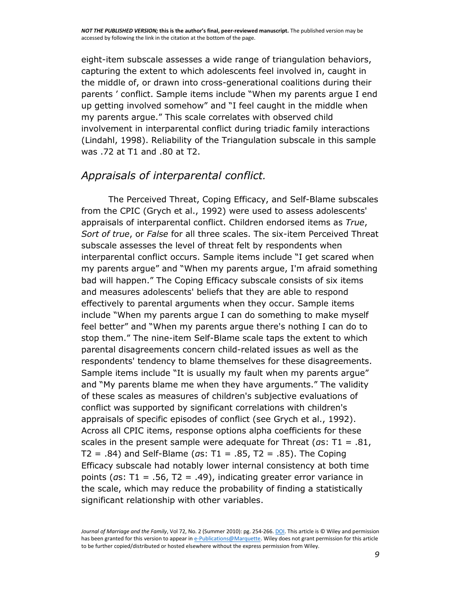eight-item subscale assesses a wide range of triangulation behaviors, capturing the extent to which adolescents feel involved in, caught in the middle of, or drawn into cross-generational coalitions during their parents ' conflict. Sample items include "When my parents argue I end up getting involved somehow" and "I feel caught in the middle when my parents argue." This scale correlates with observed child involvement in interparental conflict during triadic family interactions [\(Lindahl, 1998\)](http://onlinelibrary.wiley.com/doi/10.1111/j.1741-3737.2010.00697.x/full#b29). Reliability of the Triangulation subscale in this sample was .72 at T1 and .80 at T2.

#### *Appraisals of interparental conflict.*

The Perceived Threat, Coping Efficacy, and Self-Blame subscales from the CPIC [\(Grych et al., 1992\)](http://onlinelibrary.wiley.com/doi/10.1111/j.1741-3737.2010.00697.x/full#b24) were used to assess adolescents' appraisals of interparental conflict. Children endorsed items as *True*, *Sort of true*, or *False* for all three scales. The six-item Perceived Threat subscale assesses the level of threat felt by respondents when interparental conflict occurs. Sample items include "I get scared when my parents argue" and "When my parents argue, I'm afraid something bad will happen." The Coping Efficacy subscale consists of six items and measures adolescents' beliefs that they are able to respond effectively to parental arguments when they occur. Sample items include "When my parents argue I can do something to make myself feel better" and "When my parents argue there's nothing I can do to stop them." The nine-item Self-Blame scale taps the extent to which parental disagreements concern child-related issues as well as the respondents' tendency to blame themselves for these disagreements. Sample items include "It is usually my fault when my parents argue" and "My parents blame me when they have arguments." The validity of these scales as measures of children's subjective evaluations of conflict was supported by significant correlations with children's appraisals of specific episodes of conflict (see [Grych et al., 1992\)](http://onlinelibrary.wiley.com/doi/10.1111/j.1741-3737.2010.00697.x/full#b24). Across all CPIC items, response options alpha coefficients for these scales in the present sample were adequate for Threat (*α*s: T1 = .81, T2 = .84) and Self-Blame (*α*s: T1 = .85, T2 = .85). The Coping Efficacy subscale had notably lower internal consistency at both time points (*α*s: T1 = .56, T2 = .49), indicating greater error variance in the scale, which may reduce the probability of finding a statistically significant relationship with other variables.

*Journal of Marriage and the Family*, Vol 72, No. 2 (Summer 2010): pg. 254-266[. DOI.](http://dx.doi.org/10.1111/j.1741-3737.2010.00697.x) This article is © Wiley and permission has been granted for this version to appear i[n e-Publications@Marquette.](http://epublications.marquette.edu/) Wiley does not grant permission for this article to be further copied/distributed or hosted elsewhere without the express permission from Wiley.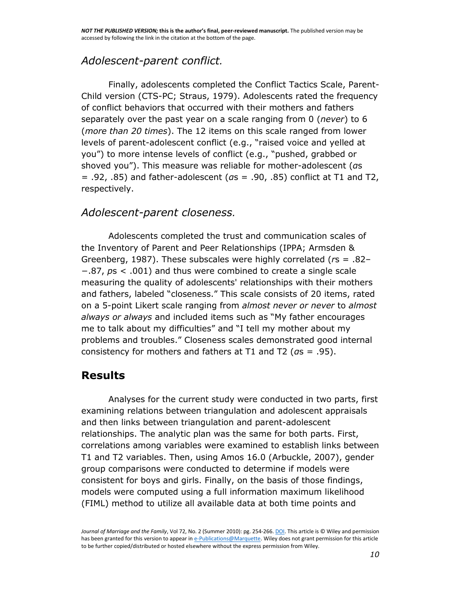# *Adolescent-parent conflict.*

Finally, adolescents completed the Conflict Tactics Scale, Parent-Child version (CTS-PC; [Straus, 1979\)](http://onlinelibrary.wiley.com/doi/10.1111/j.1741-3737.2010.00697.x/full#b35). Adolescents rated the frequency of conflict behaviors that occurred with their mothers and fathers separately over the past year on a scale ranging from 0 (*never*) to 6 (*more than 20 times*). The 12 items on this scale ranged from lower levels of parent-adolescent conflict (e.g., "raised voice and yelled at you") to more intense levels of conflict (e.g., "pushed, grabbed or shoved you"). This measure was reliable for mother-adolescent (*α*s = .92, .85) and father-adolescent (*α*s = .90, .85) conflict at T1 and T2, respectively.

#### *Adolescent-parent closeness.*

Adolescents completed the trust and communication scales of the Inventory of Parent and Peer Relationships (IPPA; [Armsden &](http://onlinelibrary.wiley.com/doi/10.1111/j.1741-3737.2010.00697.x/full#b2)  [Greenberg, 1987\)](http://onlinelibrary.wiley.com/doi/10.1111/j.1741-3737.2010.00697.x/full#b2). These subscales were highly correlated (*r*s = .82– −.87, *p*s < .001) and thus were combined to create a single scale measuring the quality of adolescents' relationships with their mothers and fathers, labeled "closeness." This scale consists of 20 items, rated on a 5-point Likert scale ranging from *almost never or never* to *almost always or always* and included items such as "My father encourages me to talk about my difficulties" and "I tell my mother about my problems and troubles." Closeness scales demonstrated good internal consistency for mothers and fathers at T1 and T2 (*α*s = .95).

# **Results**

Analyses for the current study were conducted in two parts, first examining relations between triangulation and adolescent appraisals and then links between triangulation and parent-adolescent relationships. The analytic plan was the same for both parts. First, correlations among variables were examined to establish links between T1 and T2 variables. Then, using Amos 16.0 [\(Arbuckle, 2007\)](http://onlinelibrary.wiley.com/doi/10.1111/j.1741-3737.2010.00697.x/full#b1), gender group comparisons were conducted to determine if models were consistent for boys and girls. Finally, on the basis of those findings, models were computed using a full information maximum likelihood (FIML) method to utilize all available data at both time points and

*Journal of Marriage and the Family*, Vol 72, No. 2 (Summer 2010): pg. 254-266[. DOI.](http://dx.doi.org/10.1111/j.1741-3737.2010.00697.x) This article is © Wiley and permission has been granted for this version to appear i[n e-Publications@Marquette.](http://epublications.marquette.edu/) Wiley does not grant permission for this article to be further copied/distributed or hosted elsewhere without the express permission from Wiley.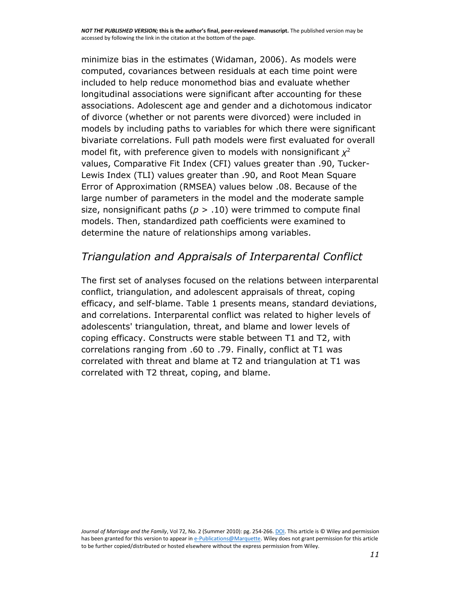minimize bias in the estimates [\(Widaman, 2006\)](http://onlinelibrary.wiley.com/doi/10.1111/j.1741-3737.2010.00697.x/full#b36). As models were computed, covariances between residuals at each time point were included to help reduce monomethod bias and evaluate whether longitudinal associations were significant after accounting for these associations. Adolescent age and gender and a dichotomous indicator of divorce (whether or not parents were divorced) were included in models by including paths to variables for which there were significant bivariate correlations. Full path models were first evaluated for overall model fit, with preference given to models with nonsignificant *χ* 2 values, Comparative Fit Index (CFI) values greater than .90, Tucker-Lewis Index (TLI) values greater than .90, and Root Mean Square Error of Approximation (RMSEA) values below .08. Because of the large number of parameters in the model and the moderate sample size, nonsignificant paths ( $p > .10$ ) were trimmed to compute final models. Then, standardized path coefficients were examined to determine the nature of relationships among variables.

# *Triangulation and Appraisals of Interparental Conflict*

The first set of analyses focused on the relations between interparental conflict, triangulation, and adolescent appraisals of threat, coping efficacy, and self-blame. [Table 1](http://onlinelibrary.wiley.com/doi/10.1111/j.1741-3737.2010.00697.x/full#t1) presents means, standard deviations, and correlations. Interparental conflict was related to higher levels of adolescents' triangulation, threat, and blame and lower levels of coping efficacy. Constructs were stable between T1 and T2, with correlations ranging from .60 to .79. Finally, conflict at T1 was correlated with threat and blame at T2 and triangulation at T1 was correlated with T2 threat, coping, and blame.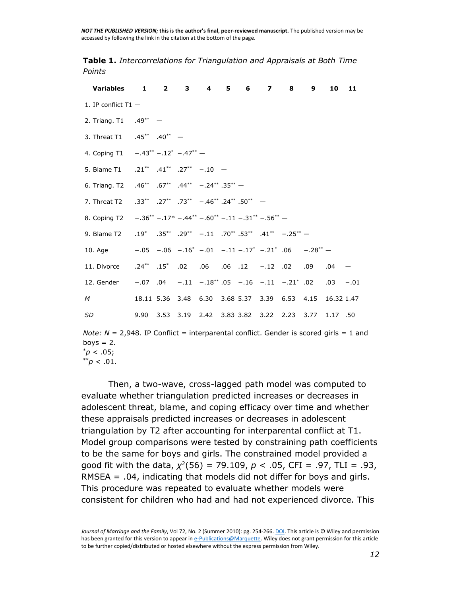**Table 1.** *Intercorrelations for Triangulation and Appraisals at Both Time Points*

| Variables 1 2 3 4 5 6                                                                             |  |  |  | $\overline{z}$ | 8 | 9                                                               | 10          | 11 |
|---------------------------------------------------------------------------------------------------|--|--|--|----------------|---|-----------------------------------------------------------------|-------------|----|
| 1. IP conflict $T1 -$                                                                             |  |  |  |                |   |                                                                 |             |    |
| 2. Triang. T1 .49** -                                                                             |  |  |  |                |   |                                                                 |             |    |
| 3. Threat T1 .45** .40** -                                                                        |  |  |  |                |   |                                                                 |             |    |
| 4. Coping T1 $-0.43^{**} - 0.12^{*} - 0.47^{**} - 0.47^{**}$                                      |  |  |  |                |   |                                                                 |             |    |
| 5. Blame T1 .21** .41** .27** -.10 -                                                              |  |  |  |                |   |                                                                 |             |    |
| 6. Triang. T2 .46** .67** .44** -.24** .35** -                                                    |  |  |  |                |   |                                                                 |             |    |
| 7. Threat T2 $.33^{**}$ $.27^{**}$ $.73^{**}$ $-.46^{**}$ $.24^{**}$ $.50^{**}$ $-$               |  |  |  |                |   |                                                                 |             |    |
| 8. Coping T2 $-.36^{**} - .17^{*} - .44^{**} - .60^{**} - .11 - .31^{**} - .56^{**} -$            |  |  |  |                |   |                                                                 |             |    |
| 9. Blame T2 $.19^*$ $.35^{**}$ $.29^{**}$ $-.11$ $.70^{**}$ $.53^{**}$ $.41^{**}$ $-.25^{**}$     |  |  |  |                |   |                                                                 |             |    |
| 10. Age $-.05 - .06 - .16^{*} - .01 - .11 - .17^{*} - .21^{*}$ .06 $-.28^{**} -$                  |  |  |  |                |   |                                                                 |             |    |
|                                                                                                   |  |  |  |                |   |                                                                 |             |    |
| 12. Gender $-.07$ $.04$ $-.11$ $-.18$ <sup>**</sup> $.05$ $-.16$ $-.11$ $-.21$ <sup>*</sup> $.02$ |  |  |  |                |   |                                                                 | $.03 - .01$ |    |
| M                                                                                                 |  |  |  |                |   | 18.11 5.36 3.48 6.30 3.68 5.37 3.39 6.53 4.15 16.32 1.47        |             |    |
| <b>SD</b>                                                                                         |  |  |  |                |   | 9.90  3.53  3.19  2.42  3.83  3.82  3.22  2.23  3.77  1.17  .50 |             |    |

*Note: N* = 2,948. IP Conflict = interparental conflict. Gender is scored girls = 1 and boys  $= 2$ .  $p^*$ *p* < .05;

 $*^{*}p$  < .01.

Then, a two-wave, cross-lagged path model was computed to evaluate whether triangulation predicted increases or decreases in adolescent threat, blame, and coping efficacy over time and whether these appraisals predicted increases or decreases in adolescent triangulation by T2 after accounting for interparental conflict at T1. Model group comparisons were tested by constraining path coefficients to be the same for boys and girls. The constrained model provided a good fit with the data, *χ* 2 (56) = 79.109, *p* < .05, CFI = .97, TLI = .93, RMSEA = .04, indicating that models did not differ for boys and girls. This procedure was repeated to evaluate whether models were consistent for children who had and had not experienced divorce. This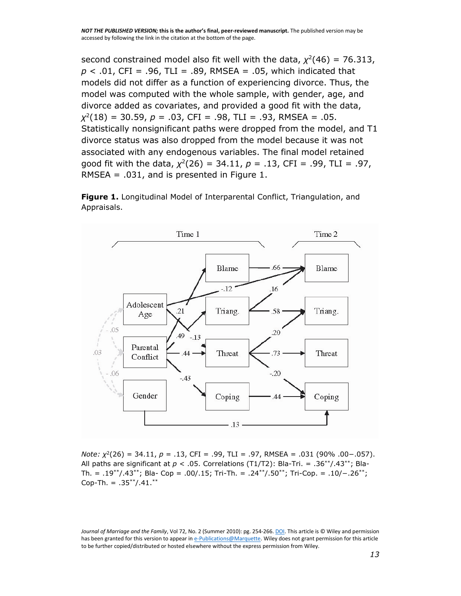second constrained model also fit well with the data,  $\chi^2(46) = 76.313$ , *p* < .01, CFI = .96, TLI = .89, RMSEA = .05, which indicated that models did not differ as a function of experiencing divorce. Thus, the model was computed with the whole sample, with gender, age, and divorce added as covariates, and provided a good fit with the data, *χ* 2 (18) = 30.59, *p* = .03, CFI = .98, TLI = .93, RMSEA = .05. Statistically nonsignificant paths were dropped from the model, and T1 divorce status was also dropped from the model because it was not associated with any endogenous variables. The final model retained good fit with the data, *χ* 2 (26) = 34.11, *p* = .13, CFI = .99, TLI = .97, RMSEA = .031, and is presented in [Figure 1.](http://onlinelibrary.wiley.com/doi/10.1111/j.1741-3737.2010.00697.x/full#f1)

**Figure 1.** Longitudinal Model of Interparental Conflict, Triangulation, and Appraisals.



*Note: χ*<sup>2</sup>(26) = 34.11, *p* = .13, CFI = .99, TLI = .97, RMSEA = .031 (90% .00−.057). All paths are significant at  $p < .05$ . Correlations (T1/T2): Bla-Tri. = .36<sup>\*\*</sup>/.43<sup>\*\*</sup>; Bla-Th. = .19\*\*/.43\*\*; Bla- Cop = .00/.15; Tri-Th. = .24\*\*/.50\*\*; Tri-Cop. = .10/−.26\*\*; Cop-Th. =  $.35**/0.41.*$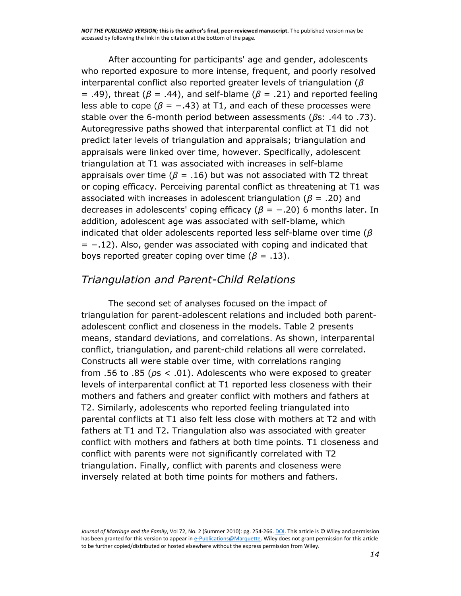After accounting for participants' age and gender, adolescents who reported exposure to more intense, frequent, and poorly resolved interparental conflict also reported greater levels of triangulation (*β* = .49), threat (*β* = .44), and self-blame (*β* = .21) and reported feeling less able to cope ( $\beta$  = -.43) at T1, and each of these processes were stable over the 6-month period between assessments (*β*s: .44 to .73). Autoregressive paths showed that interparental conflict at T1 did not predict later levels of triangulation and appraisals; triangulation and appraisals were linked over time, however. Specifically, adolescent triangulation at T1 was associated with increases in self-blame appraisals over time ( $\beta$  = .16) but was not associated with T2 threat or coping efficacy. Perceiving parental conflict as threatening at T1 was associated with increases in adolescent triangulation (*β* = .20) and decreases in adolescents' coping efficacy (*β* = −.20) 6 months later. In addition, adolescent age was associated with self-blame, which indicated that older adolescents reported less self-blame over time (*β*  $= -.12$ ). Also, gender was associated with coping and indicated that boys reported greater coping over time ( $\beta$  = .13).

#### *Triangulation and Parent-Child Relations*

The second set of analyses focused on the impact of triangulation for parent-adolescent relations and included both parentadolescent conflict and closeness in the models. [Table 2](http://onlinelibrary.wiley.com/doi/10.1111/j.1741-3737.2010.00697.x/full#t2) presents means, standard deviations, and correlations. As shown, interparental conflict, triangulation, and parent-child relations all were correlated. Constructs all were stable over time, with correlations ranging from .56 to .85 (*p*s < .01). Adolescents who were exposed to greater levels of interparental conflict at T1 reported less closeness with their mothers and fathers and greater conflict with mothers and fathers at T2. Similarly, adolescents who reported feeling triangulated into parental conflicts at T1 also felt less close with mothers at T2 and with fathers at T1 and T2. Triangulation also was associated with greater conflict with mothers and fathers at both time points. T1 closeness and conflict with parents were not significantly correlated with T2 triangulation. Finally, conflict with parents and closeness were inversely related at both time points for mothers and fathers.

*Journal of Marriage and the Family*, Vol 72, No. 2 (Summer 2010): pg. 254-266[. DOI.](http://dx.doi.org/10.1111/j.1741-3737.2010.00697.x) This article is © Wiley and permission has been granted for this version to appear i[n e-Publications@Marquette.](http://epublications.marquette.edu/) Wiley does not grant permission for this article to be further copied/distributed or hosted elsewhere without the express permission from Wiley.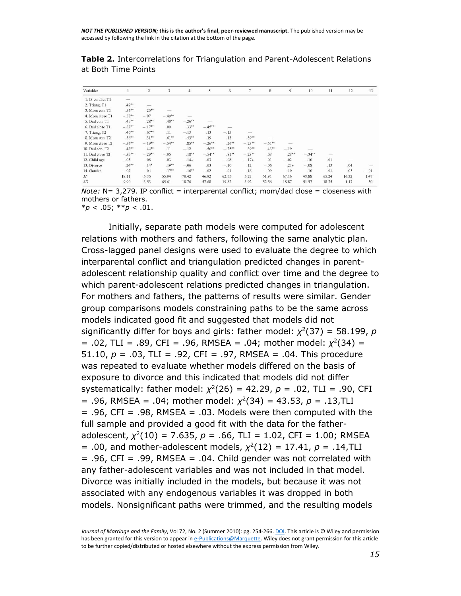**Table 2.** Intercorrelations for Triangulation and Parent-Adolescent Relations at Both Time Points

| Variables         |          | $\overline{2}$           | 3        | $\overline{4}$ | 5         | 6        | $\tau$   | 8                        | 9        | 10       | 11    | 12                       | 13     |
|-------------------|----------|--------------------------|----------|----------------|-----------|----------|----------|--------------------------|----------|----------|-------|--------------------------|--------|
| 1. IP conflict T1 |          |                          |          |                |           |          |          |                          |          |          |       |                          |        |
| 2. Triang. T1     | $.49**$  | $\overline{\phantom{a}}$ |          |                |           |          |          |                          |          |          |       |                          |        |
| 3. Mom con. T1    | $.36***$ | $.25***$                 |          |                |           |          |          |                          |          |          |       |                          |        |
| 4. Mom close T1   | $-33**$  | $-.07$                   | $-.49**$ |                |           |          |          |                          |          |          |       |                          |        |
| 5. Dad con. T1    | $.45***$ | $.28**$                  | $.40**$  | $-.26**$       |           |          |          |                          |          |          |       |                          |        |
| 6. Dad close T1   | $-.32**$ | $-.17**$                 | .09      | $.33***$       | $-.45***$ |          |          |                          |          |          |       |                          |        |
| 7. Triang. T2     | $.46***$ | $.67**$                  | .11      | $-.13$         | .13       | $-.13$   |          |                          |          |          |       |                          |        |
| 8. Mom con. T2    | $.36***$ | $.31**$                  | $.61**$  | $-.43***$      | .19       | .13      | $.39**$  | $\overline{\phantom{a}}$ |          |          |       |                          |        |
| 9. Mom close T2   | $-.36**$ | $-.19**$                 | $-.54**$ | $.85**$        | $-.26**$  | $.26**$  | $-.23**$ | $-.51**$                 | -        |          |       |                          |        |
| 10. Dad con. T2   | $.43**$  | $.44**$                  | .11      | $-.12$         | $.56***$  | $-.25**$ | $.39**$  | $.43***$                 | $-.19$   |          |       |                          |        |
| 11. Dad close T2  | $-39**$  | $-.29**$                 | $-.05$   | $.18**$        | $-.54***$ | $.81**$  | $-.23**$ | .03                      | $.23***$ | $-.34**$ |       |                          |        |
| 12. Child age     | $-.05$   | $-.06$                   | .03      | $-.14*$        | .03       | $-.08$   | $-.17*$  | .01                      | $-.02$   | $-.10$   | .01   | $\overline{\phantom{a}}$ |        |
| 13. Divorce       | $.24***$ | $.14*$                   | $.19**$  | $-.06$         | .03       | $-.10$   | .12      | $-.06$                   | $.23*$   | $-.08$   | .13   | .04                      |        |
| 14. Gender        | $-.07$   | .04                      | $-.17**$ | $.16**$        | $-.02$    | .01      | $-.16$   | $-.09$                   | .10      | .10      | .01   | .03                      | $-.01$ |
| $\cal M$          | 18.11    | 5.35                     | 55.94    | 70.42          | 46.92     | 62.75    | 5.27     | 51.91                    | 67.16    | 43.88    | 65.24 | 16.32                    | 1.47   |
| SD                | 9.90     | 3.53                     | 65.61    | 18.76          | 57.68     | 19.82    | 3.92     | 52.56                    | 18.87    | 51.57    | 18.75 | 1.17                     | .50    |

*Note: N* = 3,279. IP conflict = interparental conflict; mom/dad close = closeness with mothers or fathers.

\**p* < .05; \*\**p* < .01.

Initially, separate path models were computed for adolescent relations with mothers and fathers, following the same analytic plan. Cross-lagged panel designs were used to evaluate the degree to which interparental conflict and triangulation predicted changes in parentadolescent relationship quality and conflict over time and the degree to which parent-adolescent relations predicted changes in triangulation. For mothers and fathers, the patterns of results were similar. Gender group comparisons models constraining paths to be the same across models indicated good fit and suggested that models did not significantly differ for boys and girls: father model:  $\chi^2(37) = 58.199$ , p  $= .02$ , TLI  $= .89$ , CFI  $= .96$ , RMSEA  $= .04$ ; mother model:  $\chi^2(34) =$ 51.10, *p* = .03, TLI = .92, CFI = .97, RMSEA = .04. This procedure was repeated to evaluate whether models differed on the basis of exposure to divorce and this indicated that models did not differ systematically: father model: *χ* 2 (26) = 42.29, *p* = .02, TLI = .90, CFI = .96, RMSEA = .04; mother model: *χ* 2 (34) = 43.53, *p* = .13,TLI  $= .96$ , CFI =  $.98$ , RMSEA =  $.03$ . Models were then computed with the full sample and provided a good fit with the data for the fatheradolescent,  $\chi^2(10)$  = 7.635, *p* = .66, TLI = 1.02, CFI = 1.00; RMSEA  $= .00$ , and mother-adolescent models,  $\chi^2(12) = 17.41$ ,  $p = .14$ , TLI  $= .96$ , CFI =  $.99$ , RMSEA =  $.04$ . Child gender was not correlated with any father-adolescent variables and was not included in that model. Divorce was initially included in the models, but because it was not associated with any endogenous variables it was dropped in both models. Nonsignificant paths were trimmed, and the resulting models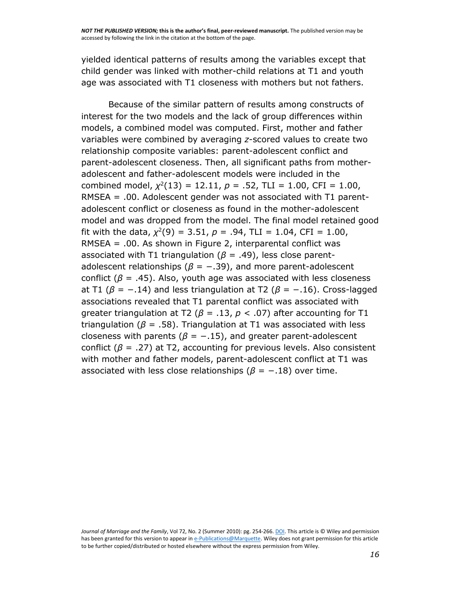yielded identical patterns of results among the variables except that child gender was linked with mother-child relations at T1 and youth age was associated with T1 closeness with mothers but not fathers.

Because of the similar pattern of results among constructs of interest for the two models and the lack of group differences within models, a combined model was computed. First, mother and father variables were combined by averaging *z*-scored values to create two relationship composite variables: parent-adolescent conflict and parent-adolescent closeness. Then, all significant paths from motheradolescent and father-adolescent models were included in the combined model,  $\chi^2(13) = 12.11$ ,  $p = .52$ , TLI = 1.00, CFI = 1.00, RMSEA = .00. Adolescent gender was not associated with T1 parentadolescent conflict or closeness as found in the mother-adolescent model and was dropped from the model. The final model retained good fit with the data,  $\chi^2(9) = 3.51$ ,  $p = .94$ , TLI = 1.04, CFI = 1.00, RMSEA = .00. As shown in [Figure 2,](http://onlinelibrary.wiley.com/doi/10.1111/j.1741-3737.2010.00697.x/full#f2) interparental conflict was associated with T1 triangulation ( $\beta$  = .49), less close parentadolescent relationships ( $\beta$  = -.39), and more parent-adolescent conflict ( $β = .45$ ). Also, youth age was associated with less closeness at T1 ( $β = −.14$ ) and less triangulation at T2 ( $β = −.16$ ). Cross-lagged associations revealed that T1 parental conflict was associated with greater triangulation at T2 (*β* = .13, *p <* .07) after accounting for T1 triangulation (*β* = .58). Triangulation at T1 was associated with less closeness with parents ( $\beta = -.15$ ), and greater parent-adolescent conflict (*β* = .27) at T2, accounting for previous levels. Also consistent with mother and father models, parent-adolescent conflict at T1 was associated with less close relationships ( $\beta$  =  $-$ .18) over time.

Journal of Marriage and the Family, Vol 72, No. 2 (Summer 2010): pg. 254-266[. DOI.](http://dx.doi.org/10.1111/j.1741-3737.2010.00697.x) This article is © Wiley and permission has been granted for this version to appear i[n e-Publications@Marquette.](http://epublications.marquette.edu/) Wiley does not grant permission for this article to be further copied/distributed or hosted elsewhere without the express permission from Wiley.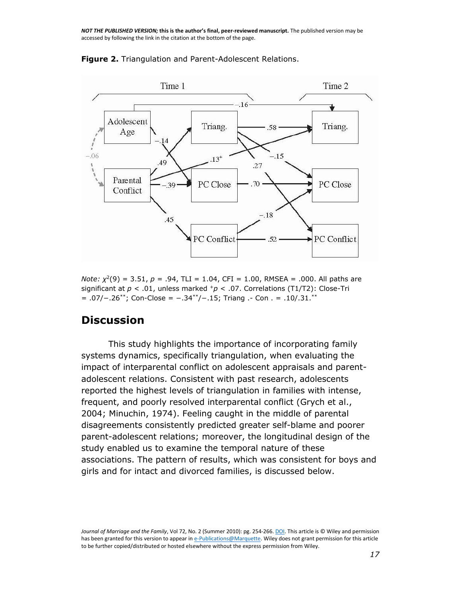

**Figure 2.** Triangulation and Parent-Adolescent Relations.

*Note: χ*<sup>2</sup>(9) = 3.51, *p* = .94, TLI = 1.04, CFI = 1.00, RMSEA = .000. All paths are significant at *p* < .01, unless marked <sup>+</sup>*p* < .07. Correlations (T1/T2): Close-Tri = .07/−.26\*\*; Con-Close = −.34\*\*/−.15; Triang .- Con . = .10/.31.\*\*

#### **Discussion**

This study highlights the importance of incorporating family systems dynamics, specifically triangulation, when evaluating the impact of interparental conflict on adolescent appraisals and parentadolescent relations. Consistent with past research, adolescents reported the highest levels of triangulation in families with intense, frequent, and poorly resolved interparental conflict [\(Grych et al.,](http://onlinelibrary.wiley.com/doi/10.1111/j.1741-3737.2010.00697.x/full#b23)  [2004;](http://onlinelibrary.wiley.com/doi/10.1111/j.1741-3737.2010.00697.x/full#b23) [Minuchin, 1974\)](http://onlinelibrary.wiley.com/doi/10.1111/j.1741-3737.2010.00697.x/full#b30). Feeling caught in the middle of parental disagreements consistently predicted greater self-blame and poorer parent-adolescent relations; moreover, the longitudinal design of the study enabled us to examine the temporal nature of these associations. The pattern of results, which was consistent for boys and girls and for intact and divorced families, is discussed below.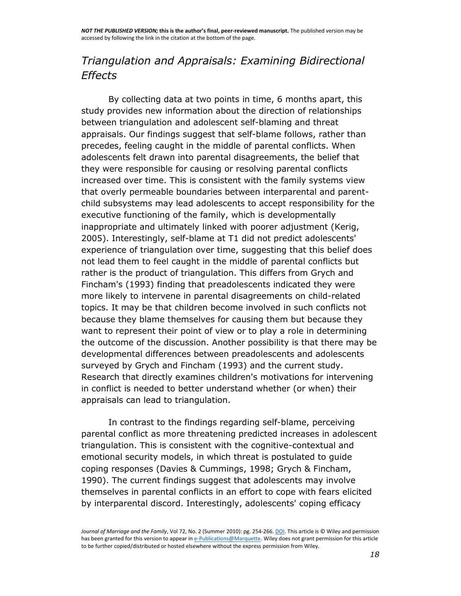# *Triangulation and Appraisals: Examining Bidirectional Effects*

By collecting data at two points in time, 6 months apart, this study provides new information about the direction of relationships between triangulation and adolescent self-blaming and threat appraisals. Our findings suggest that self-blame follows, rather than precedes, feeling caught in the middle of parental conflicts. When adolescents felt drawn into parental disagreements, the belief that they were responsible for causing or resolving parental conflicts increased over time. This is consistent with the family systems view that overly permeable boundaries between interparental and parentchild subsystems may lead adolescents to accept responsibility for the executive functioning of the family, which is developmentally inappropriate and ultimately linked with poorer adjustment [\(Kerig,](http://onlinelibrary.wiley.com/doi/10.1111/j.1741-3737.2010.00697.x/full#b27)  [2005\)](http://onlinelibrary.wiley.com/doi/10.1111/j.1741-3737.2010.00697.x/full#b27). Interestingly, self-blame at T1 did not predict adolescents' experience of triangulation over time, suggesting that this belief does not lead them to feel caught in the middle of parental conflicts but rather is the product of triangulation. This differs from [Grych and](http://onlinelibrary.wiley.com/doi/10.1111/j.1741-3737.2010.00697.x/full#b22)  [Fincham's \(1993\)](http://onlinelibrary.wiley.com/doi/10.1111/j.1741-3737.2010.00697.x/full#b22) finding that preadolescents indicated they were more likely to intervene in parental disagreements on child-related topics. It may be that children become involved in such conflicts not because they blame themselves for causing them but because they want to represent their point of view or to play a role in determining the outcome of the discussion. Another possibility is that there may be developmental differences between preadolescents and adolescents surveyed by [Grych and Fincham \(1993\)](http://onlinelibrary.wiley.com/doi/10.1111/j.1741-3737.2010.00697.x/full#b22) and the current study. Research that directly examines children's motivations for intervening in conflict is needed to better understand whether (or when) their appraisals can lead to triangulation.

In contrast to the findings regarding self-blame, perceiving parental conflict as more threatening predicted increases in adolescent triangulation. This is consistent with the cognitive-contextual and emotional security models, in which threat is postulated to guide coping responses [\(Davies & Cummings, 1998;](http://onlinelibrary.wiley.com/doi/10.1111/j.1741-3737.2010.00697.x/full#b12) [Grych & Fincham,](http://onlinelibrary.wiley.com/doi/10.1111/j.1741-3737.2010.00697.x/full#b21)  [1990\)](http://onlinelibrary.wiley.com/doi/10.1111/j.1741-3737.2010.00697.x/full#b21). The current findings suggest that adolescents may involve themselves in parental conflicts in an effort to cope with fears elicited by interparental discord. Interestingly, adolescents' coping efficacy

*Journal of Marriage and the Family*, Vol 72, No. 2 (Summer 2010): pg. 254-266[. DOI.](http://dx.doi.org/10.1111/j.1741-3737.2010.00697.x) This article is © Wiley and permission has been granted for this version to appear i[n e-Publications@Marquette.](http://epublications.marquette.edu/) Wiley does not grant permission for this article to be further copied/distributed or hosted elsewhere without the express permission from Wiley.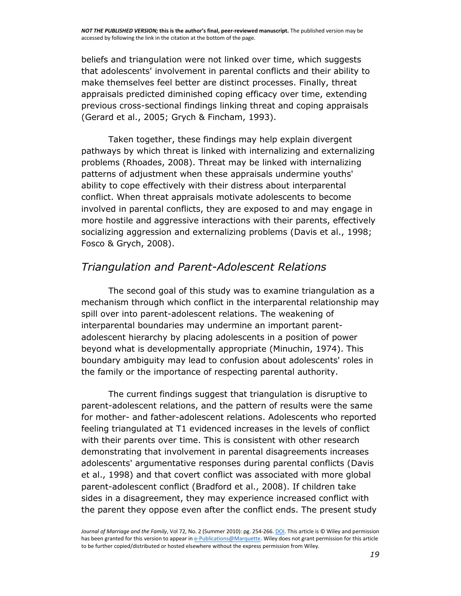beliefs and triangulation were not linked over time, which suggests that adolescents' involvement in parental conflicts and their ability to make themselves feel better are distinct processes. Finally, threat appraisals predicted diminished coping efficacy over time, extending previous cross-sectional findings linking threat and coping appraisals [\(Gerard et al., 2005;](http://onlinelibrary.wiley.com/doi/10.1111/j.1741-3737.2010.00697.x/full#b20) [Grych & Fincham, 1993\)](http://onlinelibrary.wiley.com/doi/10.1111/j.1741-3737.2010.00697.x/full#b22).

Taken together, these findings may help explain divergent pathways by which threat is linked with internalizing and externalizing problems [\(Rhoades, 2008\)](http://onlinelibrary.wiley.com/doi/10.1111/j.1741-3737.2010.00697.x/full#b32). Threat may be linked with internalizing patterns of adjustment when these appraisals undermine youths' ability to cope effectively with their distress about interparental conflict. When threat appraisals motivate adolescents to become involved in parental conflicts, they are exposed to and may engage in more hostile and aggressive interactions with their parents, effectively socializing aggression and externalizing problems [\(Davis et al., 1998;](http://onlinelibrary.wiley.com/doi/10.1111/j.1741-3737.2010.00697.x/full#b15) [Fosco & Grych, 2008\)](http://onlinelibrary.wiley.com/doi/10.1111/j.1741-3737.2010.00697.x/full#b19).

# *Triangulation and Parent-Adolescent Relations*

The second goal of this study was to examine triangulation as a mechanism through which conflict in the interparental relationship may spill over into parent-adolescent relations. The weakening of interparental boundaries may undermine an important parentadolescent hierarchy by placing adolescents in a position of power beyond what is developmentally appropriate [\(Minuchin, 1974\)](http://onlinelibrary.wiley.com/doi/10.1111/j.1741-3737.2010.00697.x/full#b30). This boundary ambiguity may lead to confusion about adolescents' roles in the family or the importance of respecting parental authority.

The current findings suggest that triangulation is disruptive to parent-adolescent relations, and the pattern of results were the same for mother- and father-adolescent relations. Adolescents who reported feeling triangulated at T1 evidenced increases in the levels of conflict with their parents over time. This is consistent with other research demonstrating that involvement in parental disagreements increases adolescents' argumentative responses during parental conflicts [\(Davis](http://onlinelibrary.wiley.com/doi/10.1111/j.1741-3737.2010.00697.x/full#b15)  [et al., 1998\)](http://onlinelibrary.wiley.com/doi/10.1111/j.1741-3737.2010.00697.x/full#b15) and that covert conflict was associated with more global parent-adolescent conflict [\(Bradford et al., 2008\)](http://onlinelibrary.wiley.com/doi/10.1111/j.1741-3737.2010.00697.x/full#b4). If children take sides in a disagreement, they may experience increased conflict with the parent they oppose even after the conflict ends. The present study

*Journal of Marriage and the Family*, Vol 72, No. 2 (Summer 2010): pg. 254-266[. DOI.](http://dx.doi.org/10.1111/j.1741-3737.2010.00697.x) This article is © Wiley and permission has been granted for this version to appear i[n e-Publications@Marquette.](http://epublications.marquette.edu/) Wiley does not grant permission for this article to be further copied/distributed or hosted elsewhere without the express permission from Wiley.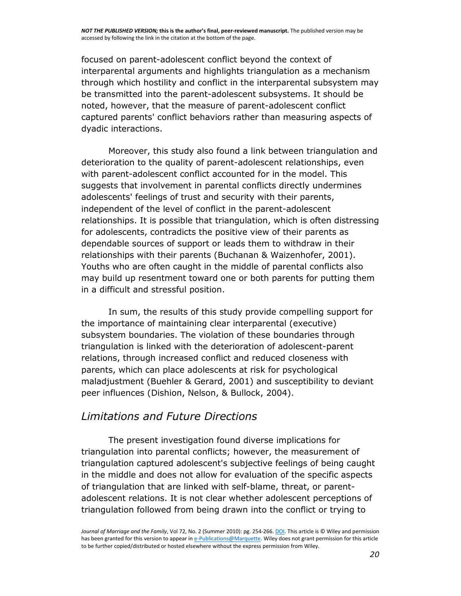focused on parent-adolescent conflict beyond the context of interparental arguments and highlights triangulation as a mechanism through which hostility and conflict in the interparental subsystem may be transmitted into the parent-adolescent subsystems. It should be noted, however, that the measure of parent-adolescent conflict captured parents' conflict behaviors rather than measuring aspects of dyadic interactions.

Moreover, this study also found a link between triangulation and deterioration to the quality of parent-adolescent relationships, even with parent-adolescent conflict accounted for in the model. This suggests that involvement in parental conflicts directly undermines adolescents' feelings of trust and security with their parents, independent of the level of conflict in the parent-adolescent relationships. It is possible that triangulation, which is often distressing for adolescents, contradicts the positive view of their parents as dependable sources of support or leads them to withdraw in their relationships with their parents [\(Buchanan & Waizenhofer, 2001\)](http://onlinelibrary.wiley.com/doi/10.1111/j.1741-3737.2010.00697.x/full#b7). Youths who are often caught in the middle of parental conflicts also may build up resentment toward one or both parents for putting them in a difficult and stressful position.

In sum, the results of this study provide compelling support for the importance of maintaining clear interparental (executive) subsystem boundaries. The violation of these boundaries through triangulation is linked with the deterioration of adolescent-parent relations, through increased conflict and reduced closeness with parents, which can place adolescents at risk for psychological maladjustment [\(Buehler & Gerard, 2001\)](http://onlinelibrary.wiley.com/doi/10.1111/j.1741-3737.2010.00697.x/full#b8) and susceptibility to deviant peer influences [\(Dishion, Nelson, & Bullock, 2004\)](http://onlinelibrary.wiley.com/doi/10.1111/j.1741-3737.2010.00697.x/full#b16).

#### *Limitations and Future Directions*

The present investigation found diverse implications for triangulation into parental conflicts; however, the measurement of triangulation captured adolescent's subjective feelings of being caught in the middle and does not allow for evaluation of the specific aspects of triangulation that are linked with self-blame, threat, or parentadolescent relations. It is not clear whether adolescent perceptions of triangulation followed from being drawn into the conflict or trying to

*Journal of Marriage and the Family*, Vol 72, No. 2 (Summer 2010): pg. 254-266[. DOI.](http://dx.doi.org/10.1111/j.1741-3737.2010.00697.x) This article is © Wiley and permission has been granted for this version to appear i[n e-Publications@Marquette.](http://epublications.marquette.edu/) Wiley does not grant permission for this article to be further copied/distributed or hosted elsewhere without the express permission from Wiley.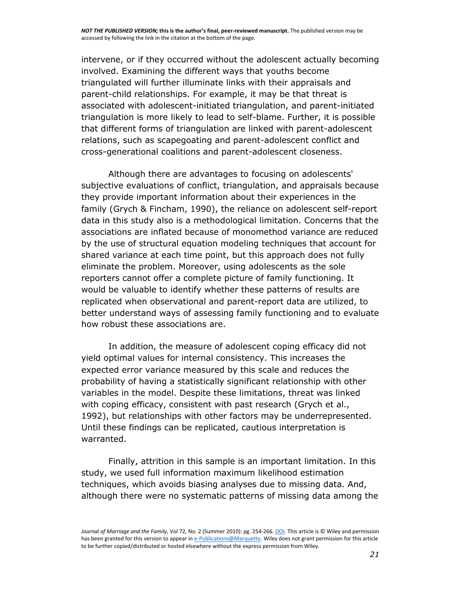intervene, or if they occurred without the adolescent actually becoming involved. Examining the different ways that youths become triangulated will further illuminate links with their appraisals and parent-child relationships. For example, it may be that threat is associated with adolescent-initiated triangulation, and parent-initiated triangulation is more likely to lead to self-blame. Further, it is possible that different forms of triangulation are linked with parent-adolescent relations, such as scapegoating and parent-adolescent conflict and cross-generational coalitions and parent-adolescent closeness.

Although there are advantages to focusing on adolescents' subjective evaluations of conflict, triangulation, and appraisals because they provide important information about their experiences in the family [\(Grych & Fincham, 1990\)](http://onlinelibrary.wiley.com/doi/10.1111/j.1741-3737.2010.00697.x/full#b21), the reliance on adolescent self-report data in this study also is a methodological limitation. Concerns that the associations are inflated because of monomethod variance are reduced by the use of structural equation modeling techniques that account for shared variance at each time point, but this approach does not fully eliminate the problem. Moreover, using adolescents as the sole reporters cannot offer a complete picture of family functioning. It would be valuable to identify whether these patterns of results are replicated when observational and parent-report data are utilized, to better understand ways of assessing family functioning and to evaluate how robust these associations are.

In addition, the measure of adolescent coping efficacy did not yield optimal values for internal consistency. This increases the expected error variance measured by this scale and reduces the probability of having a statistically significant relationship with other variables in the model. Despite these limitations, threat was linked with coping efficacy, consistent with past research [\(Grych et al.,](http://onlinelibrary.wiley.com/doi/10.1111/j.1741-3737.2010.00697.x/full#b24)  [1992\)](http://onlinelibrary.wiley.com/doi/10.1111/j.1741-3737.2010.00697.x/full#b24), but relationships with other factors may be underrepresented. Until these findings can be replicated, cautious interpretation is warranted.

Finally, attrition in this sample is an important limitation. In this study, we used full information maximum likelihood estimation techniques, which avoids biasing analyses due to missing data. And, although there were no systematic patterns of missing data among the

*Journal of Marriage and the Family*, Vol 72, No. 2 (Summer 2010): pg. 254-266[. DOI.](http://dx.doi.org/10.1111/j.1741-3737.2010.00697.x) This article is © Wiley and permission has been granted for this version to appear i[n e-Publications@Marquette.](http://epublications.marquette.edu/) Wiley does not grant permission for this article to be further copied/distributed or hosted elsewhere without the express permission from Wiley.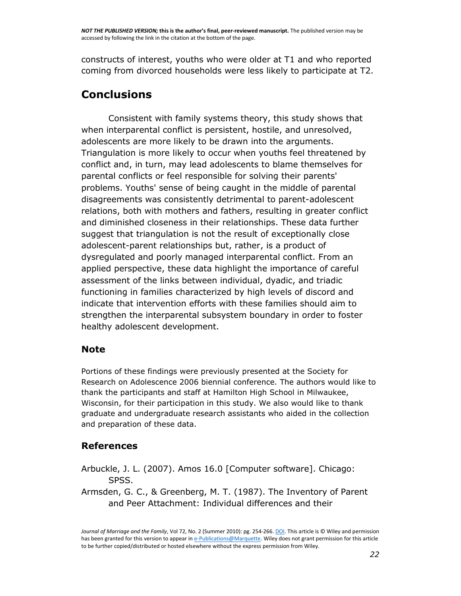constructs of interest, youths who were older at T1 and who reported coming from divorced households were less likely to participate at T2.

### **Conclusions**

Consistent with family systems theory, this study shows that when interparental conflict is persistent, hostile, and unresolved, adolescents are more likely to be drawn into the arguments. Triangulation is more likely to occur when youths feel threatened by conflict and, in turn, may lead adolescents to blame themselves for parental conflicts or feel responsible for solving their parents' problems. Youths' sense of being caught in the middle of parental disagreements was consistently detrimental to parent-adolescent relations, both with mothers and fathers, resulting in greater conflict and diminished closeness in their relationships. These data further suggest that triangulation is not the result of exceptionally close adolescent-parent relationships but, rather, is a product of dysregulated and poorly managed interparental conflict. From an applied perspective, these data highlight the importance of careful assessment of the links between individual, dyadic, and triadic functioning in families characterized by high levels of discord and indicate that intervention efforts with these families should aim to strengthen the interparental subsystem boundary in order to foster healthy adolescent development.

#### **Note**

Portions of these findings were previously presented at the Society for Research on Adolescence 2006 biennial conference. The authors would like to thank the participants and staff at Hamilton High School in Milwaukee, Wisconsin, for their participation in this study. We also would like to thank graduate and undergraduate research assistants who aided in the collection and preparation of these data.

#### **References**

- Arbuckle, J. L. (2007). Amos 16.0 [Computer software]. Chicago: SPSS.
- Armsden, G. C., & Greenberg, M. T. (1987). The Inventory of Parent and Peer Attachment: Individual differences and their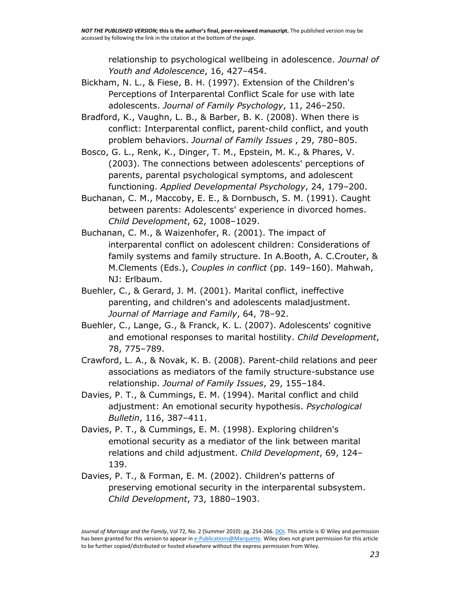relationship to psychological wellbeing in adolescence. *Journal of Youth and Adolescence*, 16, 427–454.

- Bickham, N. L., & Fiese, B. H. (1997). Extension of the Children's Perceptions of Interparental Conflict Scale for use with late adolescents. *Journal of Family Psychology*, 11, 246–250.
- Bradford, K., Vaughn, L. B., & Barber, B. K. (2008). When there is conflict: Interparental conflict, parent-child conflict, and youth problem behaviors. *Journal of Family Issues* , 29, 780–805.
- Bosco, G. L., Renk, K., Dinger, T. M., Epstein, M. K., & Phares, V. (2003). The connections between adolescents' perceptions of parents, parental psychological symptoms, and adolescent functioning. *Applied Developmental Psychology*, 24, 179–200.
- Buchanan, C. M., Maccoby, E. E., & Dornbusch, S. M. (1991). Caught between parents: Adolescents' experience in divorced homes. *Child Development*, 62, 1008–1029.
- Buchanan, C. M., & Waizenhofer, R. (2001). The impact of interparental conflict on adolescent children: Considerations of family systems and family structure. In A.Booth, A. C.Crouter, & M.Clements (Eds.), *Couples in conflict* (pp. 149–160). Mahwah, NJ: Erlbaum.
- Buehler, C., & Gerard, J. M. (2001). Marital conflict, ineffective parenting, and children's and adolescents maladjustment. *Journal of Marriage and Family*, 64, 78–92.
- Buehler, C., Lange, G., & Franck, K. L. (2007). Adolescents' cognitive and emotional responses to marital hostility. *Child Development*, 78, 775–789.
- Crawford, L. A., & Novak, K. B. (2008). Parent-child relations and peer associations as mediators of the family structure-substance use relationship. *Journal of Family Issues*, 29, 155–184.
- Davies, P. T., & Cummings, E. M. (1994). Marital conflict and child adjustment: An emotional security hypothesis. *Psychological Bulletin*, 116, 387–411.
- Davies, P. T., & Cummings, E. M. (1998). Exploring children's emotional security as a mediator of the link between marital relations and child adjustment. *Child Development*, 69, 124– 139.
- Davies, P. T., & Forman, E. M. (2002). Children's patterns of preserving emotional security in the interparental subsystem. *Child Development*, 73, 1880–1903.

*Journal of Marriage and the Family*, Vol 72, No. 2 (Summer 2010): pg. 254-266[. DOI.](http://dx.doi.org/10.1111/j.1741-3737.2010.00697.x) This article is © Wiley and permission has been granted for this version to appear i[n e-Publications@Marquette.](http://epublications.marquette.edu/) Wiley does not grant permission for this article to be further copied/distributed or hosted elsewhere without the express permission from Wiley.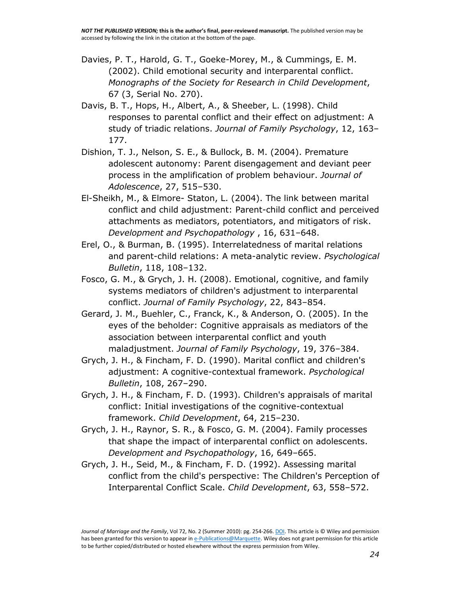- Davies, P. T., Harold, G. T., Goeke-Morey, M., & Cummings, E. M. (2002). Child emotional security and interparental conflict. *Monographs of the Society for Research in Child Development*, 67 (3, Serial No. 270).
- Davis, B. T., Hops, H., Albert, A., & Sheeber, L. (1998). Child responses to parental conflict and their effect on adjustment: A study of triadic relations. *Journal of Family Psychology*, 12, 163– 177.
- Dishion, T. J., Nelson, S. E., & Bullock, B. M. (2004). Premature adolescent autonomy: Parent disengagement and deviant peer process in the amplification of problem behaviour. *Journal of Adolescence*, 27, 515–530.
- El-Sheikh, M., & Elmore- Staton, L. (2004). The link between marital conflict and child adjustment: Parent-child conflict and perceived attachments as mediators, potentiators, and mitigators of risk. *Development and Psychopathology* , 16, 631–648.
- Erel, O., & Burman, B. (1995). Interrelatedness of marital relations and parent-child relations: A meta-analytic review. *Psychological Bulletin*, 118, 108–132.
- Fosco, G. M., & Grych, J. H. (2008). Emotional, cognitive, and family systems mediators of children's adjustment to interparental conflict. *Journal of Family Psychology*, 22, 843–854.
- Gerard, J. M., Buehler, C., Franck, K., & Anderson, O. (2005). In the eyes of the beholder: Cognitive appraisals as mediators of the association between interparental conflict and youth maladjustment. *Journal of Family Psychology*, 19, 376–384.
- Grych, J. H., & Fincham, F. D. (1990). Marital conflict and children's adjustment: A cognitive-contextual framework. *Psychological Bulletin*, 108, 267–290.
- Grych, J. H., & Fincham, F. D. (1993). Children's appraisals of marital conflict: Initial investigations of the cognitive-contextual framework. *Child Development*, 64, 215–230.
- Grych, J. H., Raynor, S. R., & Fosco, G. M. (2004). Family processes that shape the impact of interparental conflict on adolescents. *Development and Psychopathology*, 16, 649–665.
- Grych, J. H., Seid, M., & Fincham, F. D. (1992). Assessing marital conflict from the child's perspective: The Children's Perception of Interparental Conflict Scale. *Child Development*, 63, 558–572.

*Journal of Marriage and the Family*, Vol 72, No. 2 (Summer 2010): pg. 254-266[. DOI.](http://dx.doi.org/10.1111/j.1741-3737.2010.00697.x) This article is © Wiley and permission has been granted for this version to appear i[n e-Publications@Marquette.](http://epublications.marquette.edu/) Wiley does not grant permission for this article to be further copied/distributed or hosted elsewhere without the express permission from Wiley.